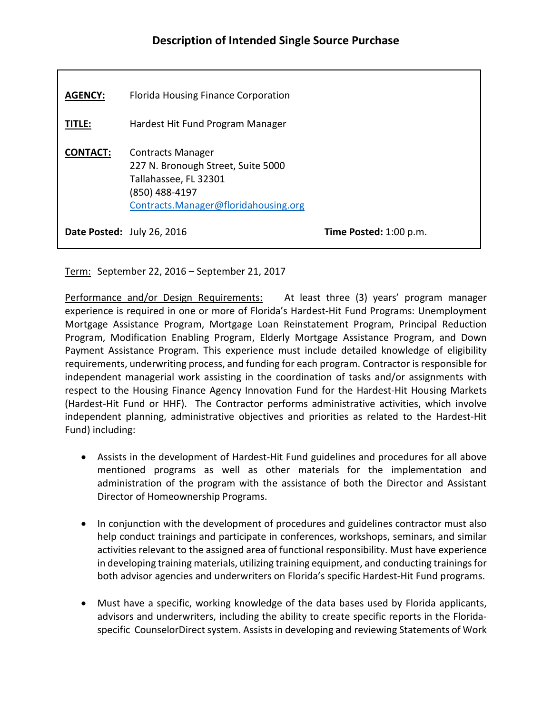| <b>AGENCY:</b>  | Florida Housing Finance Corporation                                                                                                               |                        |
|-----------------|---------------------------------------------------------------------------------------------------------------------------------------------------|------------------------|
| <b>TITLE:</b>   | Hardest Hit Fund Program Manager                                                                                                                  |                        |
| <b>CONTACT:</b> | <b>Contracts Manager</b><br>227 N. Bronough Street, Suite 5000<br>Tallahassee, FL 32301<br>(850) 488-4197<br>Contracts.Manager@floridahousing.org |                        |
|                 | Date Posted: July 26, 2016                                                                                                                        | Time Posted: 1:00 p.m. |

Term: September 22, 2016 – September 21, 2017

Performance and/or Design Requirements: At least three (3) years' program manager experience is required in one or more of Florida's Hardest-Hit Fund Programs: Unemployment Mortgage Assistance Program, Mortgage Loan Reinstatement Program, Principal Reduction Program, Modification Enabling Program, Elderly Mortgage Assistance Program, and Down Payment Assistance Program. This experience must include detailed knowledge of eligibility requirements, underwriting process, and funding for each program. Contractor is responsible for independent managerial work assisting in the coordination of tasks and/or assignments with respect to the Housing Finance Agency Innovation Fund for the Hardest-Hit Housing Markets (Hardest-Hit Fund or HHF). The Contractor performs administrative activities, which involve independent planning, administrative objectives and priorities as related to the Hardest-Hit Fund) including:

- Assists in the development of Hardest-Hit Fund guidelines and procedures for all above mentioned programs as well as other materials for the implementation and administration of the program with the assistance of both the Director and Assistant Director of Homeownership Programs.
- In conjunction with the development of procedures and guidelines contractor must also help conduct trainings and participate in conferences, workshops, seminars, and similar activities relevant to the assigned area of functional responsibility. Must have experience in developing training materials, utilizing training equipment, and conducting trainings for both advisor agencies and underwriters on Florida's specific Hardest-Hit Fund programs.
- Must have a specific, working knowledge of the data bases used by Florida applicants, advisors and underwriters, including the ability to create specific reports in the Floridaspecific CounselorDirect system. Assists in developing and reviewing Statements of Work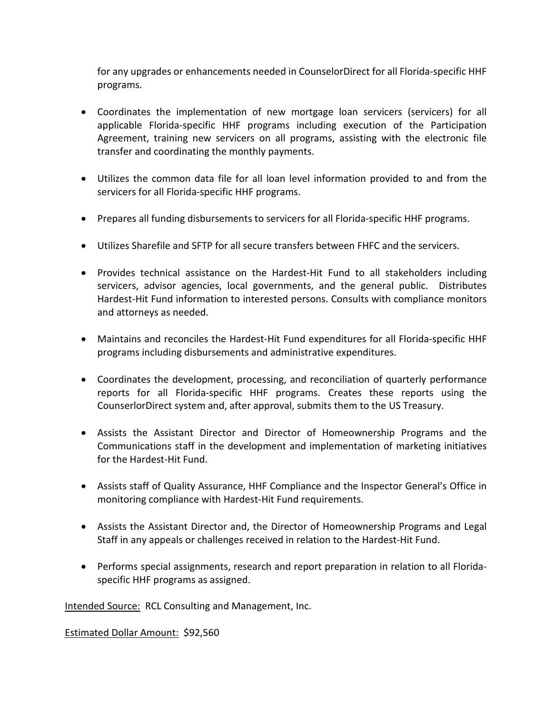for any upgrades or enhancements needed in CounselorDirect for all Florida-specific HHF programs.

- Coordinates the implementation of new mortgage loan servicers (servicers) for all applicable Florida-specific HHF programs including execution of the Participation Agreement, training new servicers on all programs, assisting with the electronic file transfer and coordinating the monthly payments.
- Utilizes the common data file for all loan level information provided to and from the servicers for all Florida-specific HHF programs.
- Prepares all funding disbursements to servicers for all Florida-specific HHF programs.
- Utilizes Sharefile and SFTP for all secure transfers between FHFC and the servicers.
- Provides technical assistance on the Hardest-Hit Fund to all stakeholders including servicers, advisor agencies, local governments, and the general public. Distributes Hardest-Hit Fund information to interested persons. Consults with compliance monitors and attorneys as needed.
- Maintains and reconciles the Hardest-Hit Fund expenditures for all Florida-specific HHF programs including disbursements and administrative expenditures.
- Coordinates the development, processing, and reconciliation of quarterly performance reports for all Florida-specific HHF programs. Creates these reports using the CounserlorDirect system and, after approval, submits them to the US Treasury.
- Assists the Assistant Director and Director of Homeownership Programs and the Communications staff in the development and implementation of marketing initiatives for the Hardest-Hit Fund.
- Assists staff of Quality Assurance, HHF Compliance and the Inspector General's Office in monitoring compliance with Hardest-Hit Fund requirements.
- Assists the Assistant Director and, the Director of Homeownership Programs and Legal Staff in any appeals or challenges received in relation to the Hardest-Hit Fund.
- Performs special assignments, research and report preparation in relation to all Floridaspecific HHF programs as assigned.

Intended Source: RCL Consulting and Management, Inc.

Estimated Dollar Amount: \$92,560